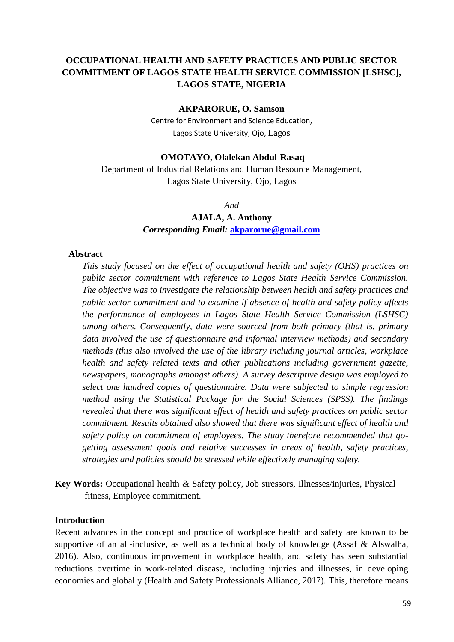# **OCCUPATIONAL HEALTH AND SAFETY PRACTICES AND PUBLIC SECTOR COMMITMENT OF LAGOS STATE HEALTH SERVICE COMMISSION [LSHSC], LAGOS STATE, NIGERIA**

### **AKPARORUE, O. Samson**

Centre for Environment and Science Education, Lagos State University, Ojo, Lagos

### **OMOTAYO, Olalekan Abdul-Rasaq**

Department of Industrial Relations and Human Resource Management, Lagos State University, Ojo, Lagos

*And* 

### **AJALA, A. Anthony** *Corresponding Email:* **[akparorue@gmail.com](mailto:akparorue@gmail.com)**

### **Abstract**

*This study focused on the effect of occupational health and safety (OHS) practices on public sector commitment with reference to Lagos State Health Service Commission. The objective was to investigate the relationship between health and safety practices and public sector commitment and to examine if absence of health and safety policy affects the performance of employees in Lagos State Health Service Commission (LSHSC) among others. Consequently, data were sourced from both primary (that is, primary data involved the use of questionnaire and informal interview methods) and secondary methods (this also involved the use of the library including journal articles, workplace health and safety related texts and other publications including government gazette, newspapers, monographs amongst others). A survey descriptive design was employed to select one hundred copies of questionnaire. Data were subjected to simple regression method using the Statistical Package for the Social Sciences (SPSS). The findings revealed that there was significant effect of health and safety practices on public sector commitment. Results obtained also showed that there was significant effect of health and safety policy on commitment of employees. The study therefore recommended that gogetting assessment goals and relative successes in areas of health, safety practices, strategies and policies should be stressed while effectively managing safety.*

**Key Words:** Occupational health & Safety policy, Job stressors, Illnesses/injuries, Physical fitness, Employee commitment.

### **Introduction**

Recent advances in the concept and practice of workplace health and safety are known to be supportive of an all-inclusive, as well as a technical body of knowledge (Assaf & Alswalha, 2016). Also, continuous improvement in workplace health, and safety has seen substantial reductions overtime in work-related disease, including injuries and illnesses, in developing economies and globally (Health and Safety Professionals Alliance, 2017). This, therefore means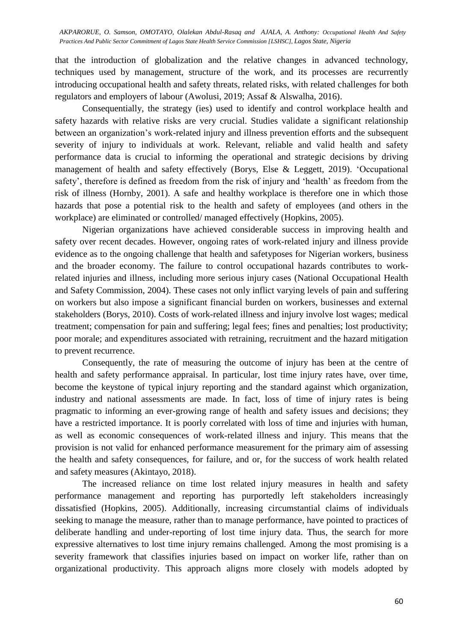that the introduction of globalization and the relative changes in advanced technology, techniques used by management, structure of the work, and its processes are recurrently introducing occupational health and safety threats, related risks, with related challenges for both regulators and employers of labour (Awolusi, 2019; Assaf & Alswalha, 2016).

Consequentially, the strategy (ies) used to identify and control workplace health and safety hazards with relative risks are very crucial. Studies validate a significant relationship between an organization's work-related injury and illness prevention efforts and the subsequent severity of injury to individuals at work. Relevant, reliable and valid health and safety performance data is crucial to informing the operational and strategic decisions by driving management of health and safety effectively (Borys, Else & Leggett, 2019). 'Occupational safety', therefore is defined as freedom from the risk of injury and 'health' as freedom from the risk of illness (Hornby, 2001). A safe and healthy workplace is therefore one in which those hazards that pose a potential risk to the health and safety of employees (and others in the workplace) are eliminated or controlled/ managed effectively (Hopkins, 2005).

Nigerian organizations have achieved considerable success in improving health and safety over recent decades. However, ongoing rates of work-related injury and illness provide evidence as to the ongoing challenge that health and safetyposes for Nigerian workers, business and the broader economy. The failure to control occupational hazards contributes to workrelated injuries and illness, including more serious injury cases (National Occupational Health and Safety Commission, 2004). These cases not only inflict varying levels of pain and suffering on workers but also impose a significant financial burden on workers, businesses and external stakeholders (Borys, 2010). Costs of work-related illness and injury involve lost wages; medical treatment; compensation for pain and suffering; legal fees; fines and penalties; lost productivity; poor morale; and expenditures associated with retraining, recruitment and the hazard mitigation to prevent recurrence.

Consequently, the rate of measuring the outcome of injury has been at the centre of health and safety performance appraisal. In particular, lost time injury rates have, over time, become the keystone of typical injury reporting and the standard against which organization, industry and national assessments are made. In fact, loss of time of injury rates is being pragmatic to informing an ever-growing range of health and safety issues and decisions; they have a restricted importance. It is poorly correlated with loss of time and injuries with human, as well as economic consequences of work-related illness and injury. This means that the provision is not valid for enhanced performance measurement for the primary aim of assessing the health and safety consequences, for failure, and or, for the success of work health related and safety measures (Akintayo, 2018).

The increased reliance on time lost related injury measures in health and safety performance management and reporting has purportedly left stakeholders increasingly dissatisfied (Hopkins, 2005). Additionally, increasing circumstantial claims of individuals seeking to manage the measure, rather than to manage performance, have pointed to practices of deliberate handling and under-reporting of lost time injury data. Thus, the search for more expressive alternatives to lost time injury remains challenged. Among the most promising is a severity framework that classifies injuries based on impact on worker life, rather than on organizational productivity. This approach aligns more closely with models adopted by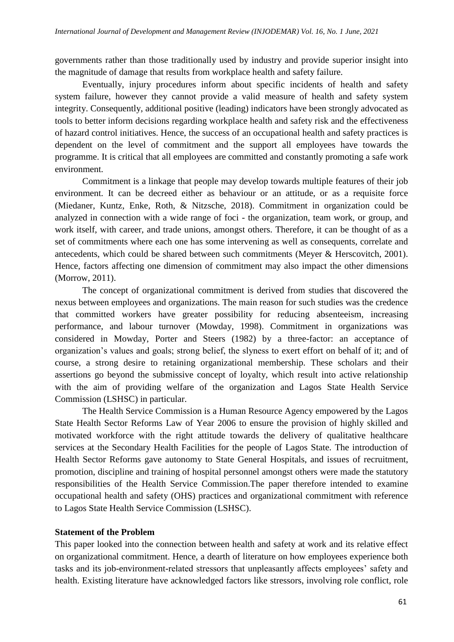governments rather than those traditionally used by industry and provide superior insight into the magnitude of damage that results from workplace health and safety failure.

Eventually, injury procedures inform about specific incidents of health and safety system failure, however they cannot provide a valid measure of health and safety system integrity. Consequently, additional positive (leading) indicators have been strongly advocated as tools to better inform decisions regarding workplace health and safety risk and the effectiveness of hazard control initiatives. Hence, the success of an occupational health and safety practices is dependent on the level of commitment and the support all employees have towards the programme. It is critical that all employees are committed and constantly promoting a safe work environment.

Commitment is a linkage that people may develop towards multiple features of their job environment. It can be decreed either as behaviour or an attitude, or as a requisite force (Miedaner, Kuntz, Enke, Roth, & Nitzsche, 2018). Commitment in organization could be analyzed in connection with a wide range of foci - the organization, team work, or group, and work itself, with career, and trade unions, amongst others. Therefore, it can be thought of as a set of commitments where each one has some intervening as well as consequents, correlate and antecedents, which could be shared between such commitments (Meyer & Herscovitch, 2001). Hence, factors affecting one dimension of commitment may also impact the other dimensions (Morrow, 2011).

The concept of organizational commitment is derived from studies that discovered the nexus between employees and organizations. The main reason for such studies was the credence that committed workers have greater possibility for reducing absenteeism, increasing performance, and labour turnover (Mowday, 1998). Commitment in organizations was considered in Mowday, Porter and Steers (1982) by a three-factor: an acceptance of organization's values and goals; strong belief, the slyness to exert effort on behalf of it; and of course, a strong desire to retaining organizational membership. These scholars and their assertions go beyond the submissive concept of loyalty, which result into active relationship with the aim of providing welfare of the organization and Lagos State Health Service Commission (LSHSC) in particular.

The Health Service Commission is a Human Resource Agency empowered by the Lagos State Health Sector Reforms Law of Year 2006 to ensure the provision of highly skilled and motivated workforce with the right attitude towards the delivery of qualitative healthcare services at the Secondary Health Facilities for the people of Lagos State. The introduction of Health Sector Reforms gave autonomy to State General Hospitals, and issues of recruitment, promotion, discipline and training of hospital personnel amongst others were made the statutory responsibilities of the Health Service Commission.The paper therefore intended to examine occupational health and safety (OHS) practices and organizational commitment with reference to Lagos State Health Service Commission (LSHSC).

## **Statement of the Problem**

This paper looked into the connection between health and safety at work and its relative effect on organizational commitment. Hence, a dearth of literature on how employees experience both tasks and its job-environment-related stressors that unpleasantly affects employees' safety and health. Existing literature have acknowledged factors like stressors, involving role conflict, role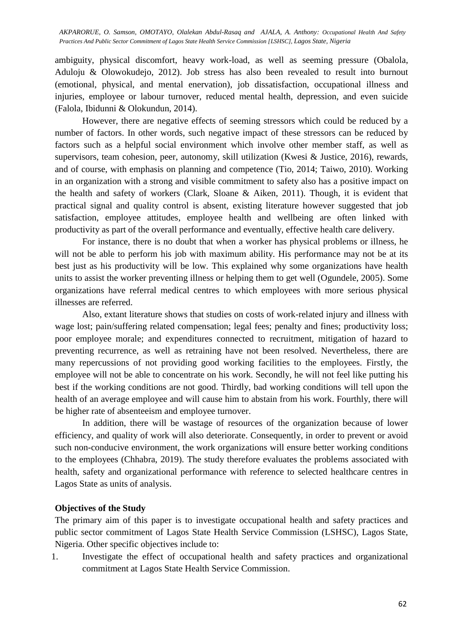ambiguity, physical discomfort, heavy work-load, as well as seeming pressure (Obalola, Aduloju & Olowokudejo, 2012). Job stress has also been revealed to result into burnout (emotional, physical, and mental enervation), job dissatisfaction, occupational illness and injuries, employee or labour turnover, reduced mental health, depression, and even suicide (Falola, Ibidunni & Olokundun, 2014).

However, there are negative effects of seeming stressors which could be reduced by a number of factors. In other words, such negative impact of these stressors can be reduced by factors such as a helpful social environment which involve other member staff, as well as supervisors, team cohesion, peer, autonomy, skill utilization (Kwesi & Justice, 2016), rewards, and of course, with emphasis on planning and competence (Tio, 2014; Taiwo, 2010). Working in an organization with a strong and visible commitment to safety also has a positive impact on the health and safety of workers (Clark, Sloane & Aiken, 2011). Though, it is evident that practical signal and quality control is absent, existing literature however suggested that job satisfaction, employee attitudes, employee health and wellbeing are often linked with productivity as part of the overall performance and eventually, effective health care delivery.

For instance, there is no doubt that when a worker has physical problems or illness, he will not be able to perform his job with maximum ability. His performance may not be at its best just as his productivity will be low. This explained why some organizations have health units to assist the worker preventing illness or helping them to get well (Ogundele, 2005). Some organizations have referral medical centres to which employees with more serious physical illnesses are referred.

Also, extant literature shows that studies on costs of work-related injury and illness with wage lost; pain/suffering related compensation; legal fees; penalty and fines; productivity loss; poor employee morale; and expenditures connected to recruitment, mitigation of hazard to preventing recurrence, as well as retraining have not been resolved. Nevertheless, there are many repercussions of not providing good working facilities to the employees. Firstly, the employee will not be able to concentrate on his work. Secondly, he will not feel like putting his best if the working conditions are not good. Thirdly, bad working conditions will tell upon the health of an average employee and will cause him to abstain from his work. Fourthly, there will be higher rate of absenteeism and employee turnover.

In addition, there will be wastage of resources of the organization because of lower efficiency, and quality of work will also deteriorate. Consequently, in order to prevent or avoid such non-conducive environment, the work organizations will ensure better working conditions to the employees (Chhabra, 2019). The study therefore evaluates the problems associated with health, safety and organizational performance with reference to selected healthcare centres in Lagos State as units of analysis.

### **Objectives of the Study**

The primary aim of this paper is to investigate occupational health and safety practices and public sector commitment of Lagos State Health Service Commission (LSHSC), Lagos State, Nigeria. Other specific objectives include to:

1. Investigate the effect of occupational health and safety practices and organizational commitment at Lagos State Health Service Commission.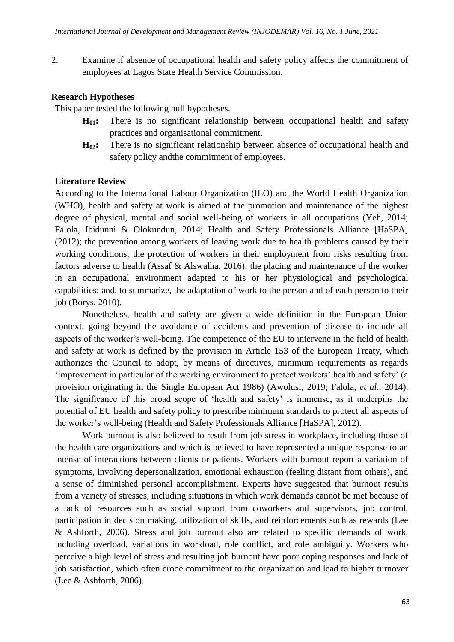2. Examine if absence of occupational health and safety policy affects the commitment of employees at Lagos State Health Service Commission.

#### **Research Hypotheses**

This paper tested the following null hypotheses.

- **H01:** There is no significant relationship between occupational health and safety practices and organisational commitment.
- **H02:** There is no significant relationship between absence of occupational health and safety policy andthe commitment of employees.

#### **Literature Review**

According to the International Labour Organization (ILO) and the World Health Organization (WHO), health and safety at work is aimed at the promotion and maintenance of the highest degree of physical, mental and social well-being of workers in all occupations (Yeh, 2014; Falola, Ibidunni & Olokundun, 2014; Health and Safety Professionals Alliance [HaSPA] (2012); the prevention among workers of leaving work due to health problems caused by their working conditions; the protection of workers in their employment from risks resulting from factors adverse to health (Assaf & Alswalha, 2016); the placing and maintenance of the worker in an occupational environment adapted to his or her physiological and psychological capabilities; and, to summarize, the adaptation of work to the person and of each person to their job (Borys, 2010).

Nonetheless, health and safety are given a wide definition in the European Union context, going beyond the avoidance of accidents and prevention of disease to include all aspects of the worker's well-being. The competence of the EU to intervene in the field of health and safety at work is defined by the provision in Article 153 of the European Treaty, which authorizes the Council to adopt, by means of directives, minimum requirements as regards ‗improvement in particular of the working environment to protect workers' health and safety' (a provision originating in the Single European Act 1986) (Awolusi, 2019; Falola, *et al.*, 2014). The significance of this broad scope of 'health and safety' is immense, as it underpins the potential of EU health and safety policy to prescribe minimum standards to protect all aspects of the worker's well-being (Health and Safety Professionals Alliance [HaSPA], 2012).

Work burnout is also believed to result from job stress in workplace, including those of the health care organizations and which is believed to have represented a unique response to an intense of interactions between clients or patients. Workers with burnout report a variation of symptoms, involving depersonalization, emotional exhaustion (feeling distant from others), and a sense of diminished personal accomplishment. Experts have suggested that burnout results from a variety of stresses, including situations in which work demands cannot be met because of a lack of resources such as social support from coworkers and supervisors, job control, participation in decision making, utilization of skills, and reinforcements such as rewards (Lee & Ashforth, 2006). Stress and job burnout also are related to specific demands of work, including overload, variations in workload, role conflict, and role ambiguity. Workers who perceive a high level of stress and resulting job burnout have poor coping responses and lack of job satisfaction, which often erode commitment to the organization and lead to higher turnover (Lee & Ashforth, 2006).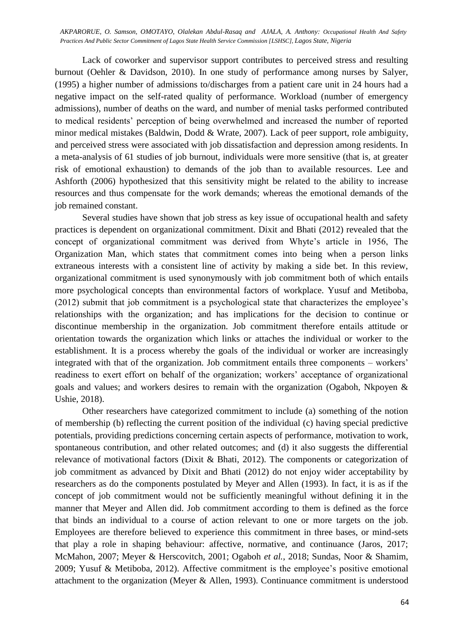Lack of coworker and supervisor support contributes to perceived stress and resulting burnout (Oehler & Davidson, 2010). In one study of performance among nurses by Salyer, (1995) a higher number of admissions to/discharges from a patient care unit in 24 hours had a negative impact on the self-rated quality of performance. Workload (number of emergency admissions), number of deaths on the ward, and number of menial tasks performed contributed to medical residents' perception of being overwhelmed and increased the number of reported minor medical mistakes (Baldwin, Dodd & Wrate, 2007). Lack of peer support, role ambiguity, and perceived stress were associated with job dissatisfaction and depression among residents. In a meta-analysis of 61 studies of job burnout, individuals were more sensitive (that is, at greater risk of emotional exhaustion) to demands of the job than to available resources. Lee and Ashforth (2006) hypothesized that this sensitivity might be related to the ability to increase resources and thus compensate for the work demands; whereas the emotional demands of the job remained constant.

Several studies have shown that job stress as key issue of occupational health and safety practices is dependent on organizational commitment. Dixit and Bhati (2012) revealed that the concept of organizational commitment was derived from Whyte's article in 1956, The Organization Man, which states that commitment comes into being when a person links extraneous interests with a consistent line of activity by making a side bet. In this review, organizational commitment is used synonymously with job commitment both of which entails more psychological concepts than environmental factors of workplace. Yusuf and Metiboba, (2012) submit that job commitment is a psychological state that characterizes the employee's relationships with the organization; and has implications for the decision to continue or discontinue membership in the organization. Job commitment therefore entails attitude or orientation towards the organization which links or attaches the individual or worker to the establishment. It is a process whereby the goals of the individual or worker are increasingly integrated with that of the organization. Job commitment entails three components – workers' readiness to exert effort on behalf of the organization; workers' acceptance of organizational goals and values; and workers desires to remain with the organization (Ogaboh, Nkpoyen & Ushie, 2018).

Other researchers have categorized commitment to include (a) something of the notion of membership (b) reflecting the current position of the individual (c) having special predictive potentials, providing predictions concerning certain aspects of performance, motivation to work, spontaneous contribution, and other related outcomes; and (d) it also suggests the differential relevance of motivational factors (Dixit & Bhati, 2012). The components or categorization of job commitment as advanced by Dixit and Bhati (2012) do not enjoy wider acceptability by researchers as do the components postulated by Meyer and Allen (1993). In fact, it is as if the concept of job commitment would not be sufficiently meaningful without defining it in the manner that Meyer and Allen did. Job commitment according to them is defined as the force that binds an individual to a course of action relevant to one or more targets on the job. Employees are therefore believed to experience this commitment in three bases, or mind-sets that play a role in shaping behaviour: affective, normative, and continuance (Jaros, 2017; McMahon, 2007; Meyer & Herscovitch, 2001; Ogaboh *et al.*, 2018; Sundas, Noor & Shamim, 2009; Yusuf & Metiboba, 2012). Affective commitment is the employee's positive emotional attachment to the organization (Meyer & Allen, 1993). Continuance commitment is understood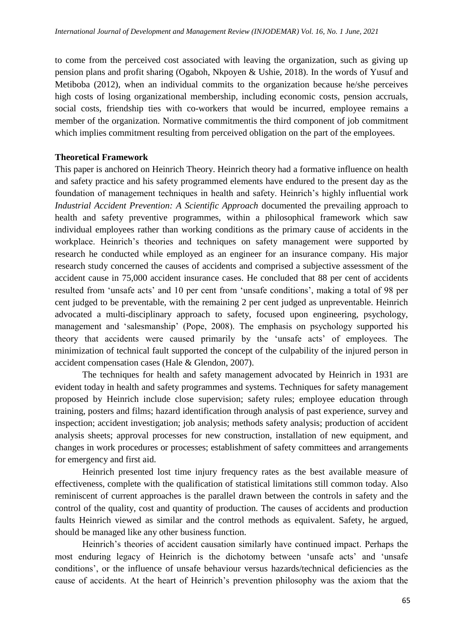to come from the perceived cost associated with leaving the organization, such as giving up pension plans and profit sharing (Ogaboh, Nkpoyen & Ushie, 2018). In the words of Yusuf and Metiboba (2012), when an individual commits to the organization because he/she perceives high costs of losing organizational membership, including economic costs, pension accruals, social costs, friendship ties with co-workers that would be incurred, employee remains a member of the organization. Normative commitmentis the third component of job commitment which implies commitment resulting from perceived obligation on the part of the employees.

## **Theoretical Framework**

This paper is anchored on Heinrich Theory. Heinrich theory had a formative influence on health and safety practice and his safety programmed elements have endured to the present day as the foundation of management techniques in health and safety. Heinrich's highly influential work *Industrial Accident Prevention: A Scientific Approach* documented the prevailing approach to health and safety preventive programmes, within a philosophical framework which saw individual employees rather than working conditions as the primary cause of accidents in the workplace. Heinrich's theories and techniques on safety management were supported by research he conducted while employed as an engineer for an insurance company. His major research study concerned the causes of accidents and comprised a subjective assessment of the accident cause in 75,000 accident insurance cases. He concluded that 88 per cent of accidents resulted from 'unsafe acts' and 10 per cent from 'unsafe conditions', making a total of 98 per cent judged to be preventable, with the remaining 2 per cent judged as unpreventable. Heinrich advocated a multi-disciplinary approach to safety, focused upon engineering, psychology, management and 'salesmanship' (Pope, 2008). The emphasis on psychology supported his theory that accidents were caused primarily by the 'unsafe acts' of employees. The minimization of technical fault supported the concept of the culpability of the injured person in accident compensation cases (Hale & Glendon, 2007).

The techniques for health and safety management advocated by Heinrich in 1931 are evident today in health and safety programmes and systems. Techniques for safety management proposed by Heinrich include close supervision; safety rules; employee education through training, posters and films; hazard identification through analysis of past experience, survey and inspection; accident investigation; job analysis; methods safety analysis; production of accident analysis sheets; approval processes for new construction, installation of new equipment, and changes in work procedures or processes; establishment of safety committees and arrangements for emergency and first aid.

Heinrich presented lost time injury frequency rates as the best available measure of effectiveness, complete with the qualification of statistical limitations still common today. Also reminiscent of current approaches is the parallel drawn between the controls in safety and the control of the quality, cost and quantity of production. The causes of accidents and production faults Heinrich viewed as similar and the control methods as equivalent. Safety, he argued, should be managed like any other business function.

Heinrich's theories of accident causation similarly have continued impact. Perhaps the most enduring legacy of Heinrich is the dichotomy between 'unsafe acts' and 'unsafe conditions', or the influence of unsafe behaviour versus hazards/technical deficiencies as the cause of accidents. At the heart of Heinrich's prevention philosophy was the axiom that the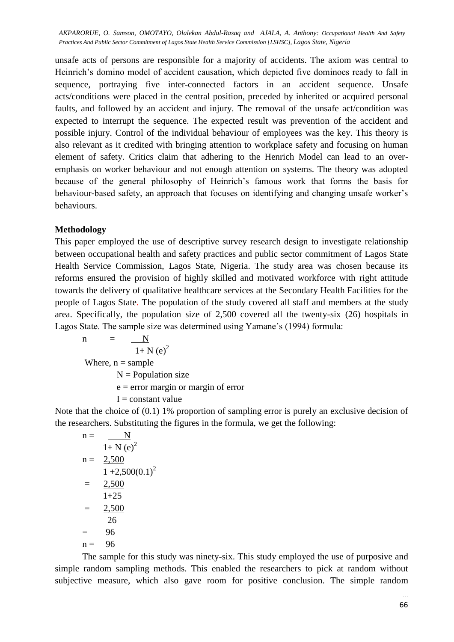unsafe acts of persons are responsible for a majority of accidents. The axiom was central to Heinrich's domino model of accident causation, which depicted five dominoes ready to fall in sequence, portraying five inter-connected factors in an accident sequence. Unsafe acts/conditions were placed in the central position, preceded by inherited or acquired personal faults, and followed by an accident and injury. The removal of the unsafe act/condition was expected to interrupt the sequence. The expected result was prevention of the accident and possible injury. Control of the individual behaviour of employees was the key. This theory is also relevant as it credited with bringing attention to workplace safety and focusing on human element of safety. Critics claim that adhering to the Henrich Model can lead to an overemphasis on worker behaviour and not enough attention on systems. The theory was adopted because of the general philosophy of Heinrich's famous work that forms the basis for behaviour-based safety, an approach that focuses on identifying and changing unsafe worker's behaviours.

### **Methodology**

This paper employed the use of descriptive survey research design to investigate relationship between occupational health and safety practices and public sector commitment of Lagos State Health Service Commission, Lagos State, Nigeria. The study area was chosen because its reforms ensured the provision of highly skilled and motivated workforce with right attitude towards the delivery of qualitative healthcare services at the Secondary Health Facilities for the people of Lagos State. The population of the study covered all staff and members at the study area. Specifically, the population size of 2,500 covered all the twenty-six (26) hospitals in Lagos State. The sample size was determined using Yamane's (1994) formula:

$$
n = \frac{N}{1 + N (e)^{2}}
$$
  
Where, n = sample  
N = Population size  
e = error margin or margin of error  
I = constant value

Note that the choice of (0.1) 1% proportion of sampling error is purely an exclusive decision of the researchers. Substituting the figures in the formula, we get the following:

$$
n = \frac{N}{1 + N (e)^{2}}
$$
  
\n
$$
n = \frac{2.500}{1 + 2.500(0.1)^{2}}
$$
  
\n
$$
= \frac{2.500}{1 + 25}
$$
  
\n
$$
= \frac{2.500}{26}
$$
  
\n
$$
= 96
$$
  
\n
$$
n = 96
$$

The sample for this study was ninety-six. This study employed the use of purposive and simple random sampling methods. This enabled the researchers to pick at random without subjective measure, which also gave room for positive conclusion. The simple random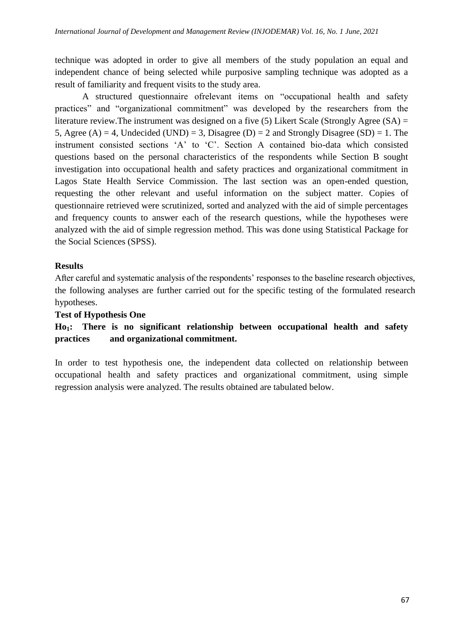technique was adopted in order to give all members of the study population an equal and independent chance of being selected while purposive sampling technique was adopted as a result of familiarity and frequent visits to the study area.

A structured questionnaire of relevant items on "occupational health and safety practices" and "organizational commitment" was developed by the researchers from the literature review.The instrument was designed on a five (5) Likert Scale (Strongly Agree (SA) = 5, Agree (A) = 4, Undecided (UND) = 3, Disagree (D) = 2 and Strongly Disagree (SD) = 1. The instrument consisted sections 'A' to 'C'. Section A contained bio-data which consisted questions based on the personal characteristics of the respondents while Section B sought investigation into occupational health and safety practices and organizational commitment in Lagos State Health Service Commission. The last section was an open-ended question, requesting the other relevant and useful information on the subject matter. Copies of questionnaire retrieved were scrutinized, sorted and analyzed with the aid of simple percentages and frequency counts to answer each of the research questions, while the hypotheses were analyzed with the aid of simple regression method. This was done using Statistical Package for the Social Sciences (SPSS).

### **Results**

After careful and systematic analysis of the respondents' responses to the baseline research objectives, the following analyses are further carried out for the specific testing of the formulated research hypotheses.

### **Test of Hypothesis One**

## **Ho1: There is no significant relationship between occupational health and safety practices and organizational commitment.**

In order to test hypothesis one, the independent data collected on relationship between occupational health and safety practices and organizational commitment, using simple regression analysis were analyzed. The results obtained are tabulated below.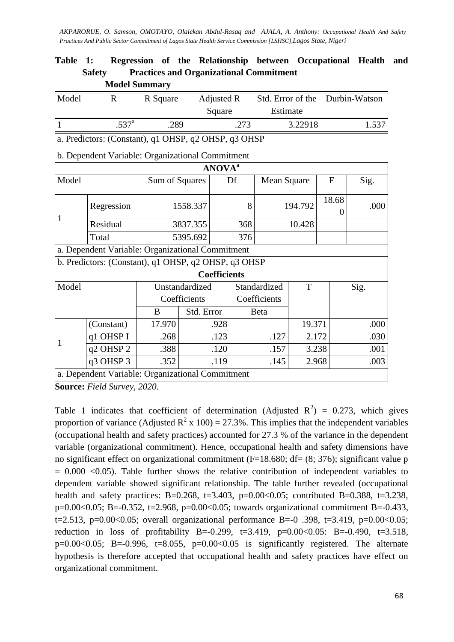| <b>Practices and Organizational Commitment</b><br><b>Safety</b> |                                                      |                |                     |     |                   |        |                         |      |
|-----------------------------------------------------------------|------------------------------------------------------|----------------|---------------------|-----|-------------------|--------|-------------------------|------|
| <b>Model Summary</b>                                            |                                                      |                |                     |     |                   |        |                         |      |
| Model                                                           | $\mathbf{R}$                                         | R Square       | Adjusted R          |     | Std. Error of the |        | Durbin-Watson           |      |
|                                                                 |                                                      |                | Square              |     | Estimate          |        |                         |      |
|                                                                 | .537 <sup>a</sup>                                    |                | .289<br>.273        |     | 3.22918           |        | 1.537                   |      |
|                                                                 | a. Predictors: (Constant), q1 OHSP, q2 OHSP, q3 OHSP |                |                     |     |                   |        |                         |      |
|                                                                 | b. Dependent Variable: Organizational Commitment     |                |                     |     |                   |        |                         |      |
| <b>ANOVA</b> <sup>a</sup>                                       |                                                      |                |                     |     |                   |        |                         |      |
| Model                                                           |                                                      | Sum of Squares |                     | Df  | Mean Square       |        | ${\bf F}$               | Sig. |
| 1                                                               | Regression                                           |                | 1558.337            | 8   | 194.792           |        | 18.68<br>$\overline{0}$ | .000 |
|                                                                 | Residual                                             |                | 3837.355            | 368 | 10.428            |        |                         |      |
|                                                                 | Total                                                |                | 5395.692            | 376 |                   |        |                         |      |
| a. Dependent Variable: Organizational Commitment                |                                                      |                |                     |     |                   |        |                         |      |
|                                                                 | b. Predictors: (Constant), q1 OHSP, q2 OHSP, q3 OHSP |                |                     |     |                   |        |                         |      |
|                                                                 |                                                      |                | <b>Coefficients</b> |     |                   |        |                         |      |
| Model                                                           |                                                      |                | Unstandardized      |     | Standardized      | T      |                         | Sig. |
|                                                                 |                                                      |                | Coefficients        |     | Coefficients      |        |                         |      |
|                                                                 |                                                      | B              | Std. Error          |     | Beta              |        |                         |      |
| 1                                                               | (Constant)                                           | 17.970         | .928                |     |                   | 19.371 |                         | .000 |
|                                                                 | q1 OHSP I                                            | .268           | .123                |     | .127              | 2.172  |                         | .030 |
|                                                                 | q2 OHSP 2                                            | .388           | .120                |     | .157              | 3.238  |                         | .001 |
|                                                                 | q3 OHSP 3                                            | .352           | .119                |     | .145              | 2.968  |                         | .003 |
|                                                                 | a. Dependent Variable: Organizational Commitment     |                |                     |     |                   |        |                         |      |

**Table 1: Regression of the Relationship between Occupational Health and Safety Practices and Organizational Commitment**

**Source:** *Field Survey, 2020.*

Table 1 indicates that coefficient of determination (Adjusted  $R^2$ ) = 0.273, which gives proportion of variance (Adjusted  $R^2$  x 100) = 27.3%. This implies that the independent variables (occupational health and safety practices) accounted for 27.3 % of the variance in the dependent variable (organizational commitment). Hence, occupational health and safety dimensions have no significant effect on organizational commitment ( $F=18.680$ ; df= (8; 376); significant value p  $= 0.000$  <0.05). Table further shows the relative contribution of independent variables to dependent variable showed significant relationship. The table further revealed (occupational health and safety practices: B=0.268, t=3.403, p=0.00<0.05; contributed B=0.388, t=3.238, p=0.00<0.05; B=-0.352, t=2.968, p=0.00<0.05; towards organizational commitment B=-0.433, t=2.513, p=0.00<0.05; overall organizational performance B=-0 .398, t=3.419, p=0.00<0.05; reduction in loss of profitability B=-0.299, t=3.419, p=0.00<0.05: B=-0.490, t=3.518, p=0.00 $<0.05$ ; B=-0.996, t=8.055, p=0.00 $<0.05$  is significantly registered. The alternate hypothesis is therefore accepted that occupational health and safety practices have effect on organizational commitment.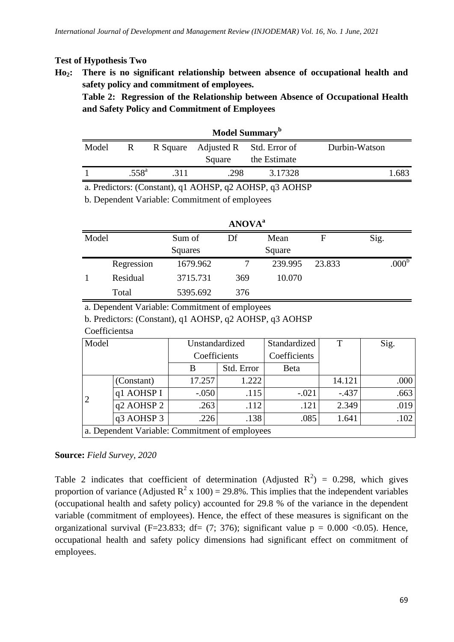## **Test of Hypothesis Two**

**Ho2: There is no significant relationship between absence of occupational health and safety policy and commitment of employees.**

**Table 2: Regression of the Relationship between Absence of Occupational Health and Safety Policy and Commitment of Employees**

| Model Summary <sup>b</sup> |              |     |        |                                   |               |  |  |  |
|----------------------------|--------------|-----|--------|-----------------------------------|---------------|--|--|--|
| Model                      | $\mathbb{R}$ |     |        | R Square Adjusted R Std. Error of | Durbin-Watson |  |  |  |
|                            |              |     | Square | the Estimate                      |               |  |  |  |
|                            | $.558^{a}$   | 311 | .298   | 3.17328                           | 1.683         |  |  |  |
|                            |              |     |        |                                   |               |  |  |  |

a. Predictors: (Constant), q1 AOHSP, q2 AOHSP, q3 AOHSP

b. Dependent Variable: Commitment of employees

| <b>ANOVA</b> <sup>a</sup> |            |          |     |         |        |                   |  |  |
|---------------------------|------------|----------|-----|---------|--------|-------------------|--|--|
| Model                     |            | Sum of   | Df  | Mean    | F      | Sig.              |  |  |
|                           |            | Squares  |     | Square  |        |                   |  |  |
|                           | Regression | 1679.962 |     | 239.995 | 23.833 | .000 <sup>b</sup> |  |  |
|                           | Residual   | 3715.731 | 369 | 10.070  |        |                   |  |  |
|                           | Total      | 5395.692 | 376 |         |        |                   |  |  |

a. Dependent Variable: Commitment of employees

b. Predictors: (Constant), q1 AOHSP, q2 AOHSP, q3 AOHSP

Coefficientsa

| Model                                          |            | Unstandardized |            | Standardized | T       | Sig. |  |  |
|------------------------------------------------|------------|----------------|------------|--------------|---------|------|--|--|
|                                                |            | Coefficients   |            | Coefficients |         |      |  |  |
|                                                |            | B              | Std. Error | <b>B</b> eta |         |      |  |  |
| $\overline{2}$                                 | (Constant) | 17.257         | 1.222      |              | 14.121  | .000 |  |  |
|                                                | q1 AOHSP I | $-.050$        | .115       | $-.021$      | $-.437$ | .663 |  |  |
|                                                | q2 AOHSP 2 | .263           | .112       | .121         | 2.349   | .019 |  |  |
|                                                | q3 AOHSP 3 | .226           | .138       | .085         | 1.641   | .102 |  |  |
| a. Dependent Variable: Commitment of employees |            |                |            |              |         |      |  |  |

## **Source:** *Field Survey, 2020*

Table 2 indicates that coefficient of determination (Adjusted  $R^2$ ) = 0.298, which gives proportion of variance (Adjusted  $R^2$  x 100) = 29.8%. This implies that the independent variables (occupational health and safety policy) accounted for 29.8 % of the variance in the dependent variable (commitment of employees). Hence, the effect of these measures is significant on the organizational survival (F=23.833; df=  $(7; 376)$ ; significant value  $p = 0.000 \le 0.05$ ). Hence, occupational health and safety policy dimensions had significant effect on commitment of employees.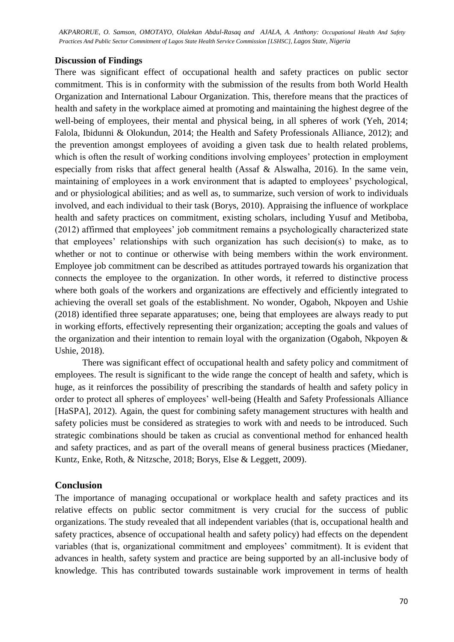### **Discussion of Findings**

There was significant effect of occupational health and safety practices on public sector commitment. This is in conformity with the submission of the results from both World Health Organization and International Labour Organization. This, therefore means that the practices of health and safety in the workplace aimed at promoting and maintaining the highest degree of the well-being of employees, their mental and physical being, in all spheres of work (Yeh, 2014; Falola, Ibidunni & Olokundun, 2014; the Health and Safety Professionals Alliance, 2012); and the prevention amongst employees of avoiding a given task due to health related problems, which is often the result of working conditions involving employees' protection in employment especially from risks that affect general health (Assaf & Alswalha, 2016). In the same vein, maintaining of employees in a work environment that is adapted to employees' psychological, and or physiological abilities; and as well as, to summarize, such version of work to individuals involved, and each individual to their task (Borys, 2010). Appraising the influence of workplace health and safety practices on commitment, existing scholars, including Yusuf and Metiboba, (2012) affirmed that employees' job commitment remains a psychologically characterized state that employees' relationships with such organization has such decision(s) to make, as to whether or not to continue or otherwise with being members within the work environment. Employee job commitment can be described as attitudes portrayed towards his organization that connects the employee to the organization. In other words, it referred to distinctive process where both goals of the workers and organizations are effectively and efficiently integrated to achieving the overall set goals of the establishment. No wonder, Ogaboh, Nkpoyen and Ushie (2018) identified three separate apparatuses; one, being that employees are always ready to put in working efforts, effectively representing their organization; accepting the goals and values of the organization and their intention to remain loyal with the organization (Ogaboh, Nkpoyen & Ushie, 2018).

There was significant effect of occupational health and safety policy and commitment of employees. The result is significant to the wide range the concept of health and safety, which is huge, as it reinforces the possibility of prescribing the standards of health and safety policy in order to protect all spheres of employees' well-being (Health and Safety Professionals Alliance [HaSPA], 2012). Again, the quest for combining safety management structures with health and safety policies must be considered as strategies to work with and needs to be introduced. Such strategic combinations should be taken as crucial as conventional method for enhanced health and safety practices, and as part of the overall means of general business practices (Miedaner, Kuntz, Enke, Roth, & Nitzsche, 2018; Borys, Else & Leggett, 2009).

## **Conclusion**

The importance of managing occupational or workplace health and safety practices and its relative effects on public sector commitment is very crucial for the success of public organizations. The study revealed that all independent variables (that is, occupational health and safety practices, absence of occupational health and safety policy) had effects on the dependent variables (that is, organizational commitment and employees' commitment). It is evident that advances in health, safety system and practice are being supported by an all-inclusive body of knowledge. This has contributed towards sustainable work improvement in terms of health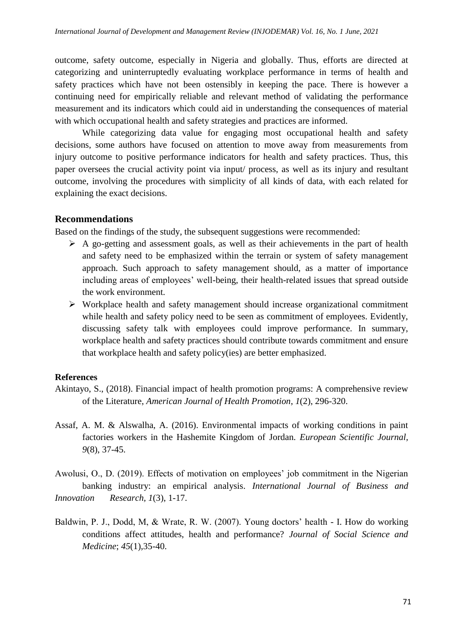outcome, safety outcome, especially in Nigeria and globally. Thus, efforts are directed at categorizing and uninterruptedly evaluating workplace performance in terms of health and safety practices which have not been ostensibly in keeping the pace. There is however a continuing need for empirically reliable and relevant method of validating the performance measurement and its indicators which could aid in understanding the consequences of material with which occupational health and safety strategies and practices are informed.

While categorizing data value for engaging most occupational health and safety decisions, some authors have focused on attention to move away from measurements from injury outcome to positive performance indicators for health and safety practices. Thus, this paper oversees the crucial activity point via input/ process, as well as its injury and resultant outcome, involving the procedures with simplicity of all kinds of data, with each related for explaining the exact decisions.

## **Recommendations**

Based on the findings of the study, the subsequent suggestions were recommended:

- $\triangleright$  A go-getting and assessment goals, as well as their achievements in the part of health and safety need to be emphasized within the terrain or system of safety management approach. Such approach to safety management should, as a matter of importance including areas of employees' well-being, their health-related issues that spread outside the work environment.
- $\triangleright$  Workplace health and safety management should increase organizational commitment while health and safety policy need to be seen as commitment of employees. Evidently, discussing safety talk with employees could improve performance. In summary, workplace health and safety practices should contribute towards commitment and ensure that workplace health and safety policy(ies) are better emphasized.

### **References**

- Akintayo, S., (2018). Financial impact of health promotion programs: A comprehensive review of the Literature, *American Journal of Health Promotion*, *1*(2), 296-320.
- Assaf, A. M. & Alswalha, A. (2016). Environmental impacts of working conditions in paint factories workers in the Hashemite Kingdom of Jordan. *European Scientific Journal, 9*(8), 37-45.

Awolusi, O., D. (2019). Effects of motivation on employees' job commitment in the Nigerian banking industry: an empirical analysis. *International Journal of Business and Innovation Research, 1*(3), 1-17.

Baldwin, P. J., Dodd, M, & Wrate, R. W. (2007). Young doctors' health - I. How do working conditions affect attitudes, health and performance? *Journal of Social Science and Medicine*; *45*(1),35-40.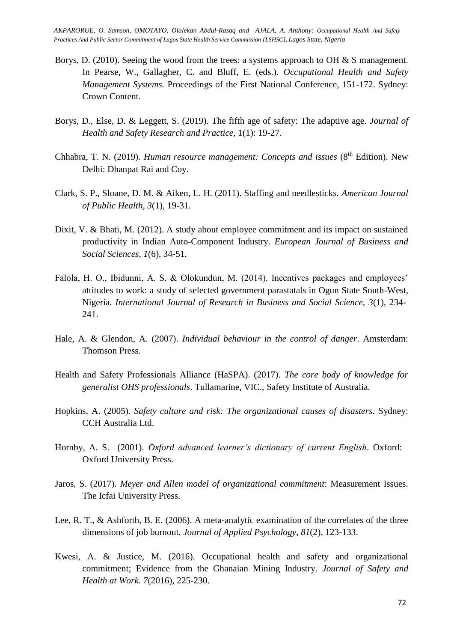- Borys, D. (2010). Seeing the wood from the trees: a systems approach to OH & S management. In Pearse, W., Gallagher, C. and Bluff, E. (eds.). *Occupational Health and Safety Management Systems.* Proceedings of the First National Conference, 151-172. Sydney: Crown Content.
- Borys, D., Else, D. & Leggett, S. (2019). The fifth age of safety: The adaptive age. *Journal of Health and Safety Research and Practice*, 1(1): 19-27.
- Chhabra, T. N. (2019). *Human resource management: Concepts and issues* (8<sup>th</sup> Edition). New Delhi: Dhanpat Rai and Coy.
- Clark, S. P., Sloane, D. M. & Aiken, L. H. (2011). Staffing and needlesticks. *American Journal of Public Health, 3*(1), 19-31.
- Dixit, V. & Bhati, M. (2012). A study about employee commitment and its impact on sustained productivity in Indian Auto-Component Industry. *European Journal of Business and Social Sciences, 1*(6), 34-51.
- Falola, H. O., Ibidunni, A. S. & Olokundun, M. (2014). Incentives packages and employees' attitudes to work: a study of selected government parastatals in Ogun State South-West, Nigeria. *International Journal of Research in Business and Social Science, 3*(1), 234- 241.
- Hale, A. & Glendon, A. (2007). *Individual behaviour in the control of danger*. Amsterdam: Thomson Press.
- Health and Safety Professionals Alliance (HaSPA). (2017). *The core body of knowledge for generalist OHS professionals*. Tullamarine, VIC., Safety Institute of Australia.
- Hopkins, A. (2005). *Safety culture and risk: The organizational causes of disasters*. Sydney: CCH Australia Ltd.
- Hornby, A. S. (2001). *Oxford advanced learner's dictionary of current English*. Oxford: Oxford University Press.
- Jaros, S. (2017). *Meyer and Allen model of organizational commitment*: Measurement Issues. The Icfai University Press.
- Lee, R. T., & Ashforth, B. E. (2006). A meta-analytic examination of the correlates of the three dimensions of job burnout. *Journal of Applied Psychology*, *81*(2), 123-133.
- Kwesi, A. & Justice, M. (2016). Occupational health and safety and organizational commitment; Evidence from the Ghanaian Mining Industry. *Journal of Safety and Health at Work. 7*(2016), 225-230.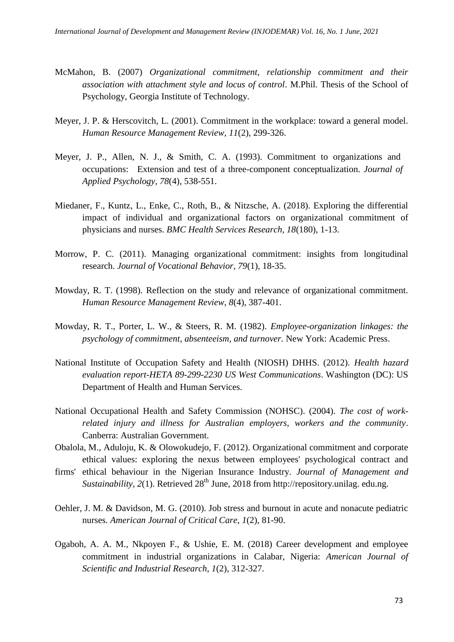- McMahon, B. (2007) *Organizational commitment, relationship commitment and their association with attachment style and locus of control*. M.Phil. Thesis of the School of Psychology, Georgia Institute of Technology.
- Meyer, J. P. & Herscovitch, L. (2001). Commitment in the workplace: toward a general model. *Human Resource Management Review, 11*(2), 299-326.
- Meyer, J. P., Allen, N. J., & Smith, C. A. (1993). Commitment to organizations and occupations: Extension and test of a three-component conceptualization. *Journal of Applied Psychology, 78*(4), 538-551.
- Miedaner, F., Kuntz, L., Enke, C., Roth, B., & Nitzsche, A. (2018). Exploring the differential impact of individual and organizational factors on organizational commitment of physicians and nurses. *BMC Health Services Research, 18*(180), 1-13.
- Morrow, P. C. (2011). Managing organizational commitment: insights from longitudinal research. *Journal of Vocational Behavior, 79*(1), 18-35.
- Mowday, R. T. (1998). Reflection on the study and relevance of organizational commitment. *Human Resource Management Review, 8*(4), 387-401.
- Mowday, R. T., Porter, L. W., & Steers, R. M. (1982). *Employee-organization linkages: the psychology of commitment, absenteeism, and turnover.* New York: Academic Press.
- National Institute of Occupation Safety and Health (NIOSH) DHHS. (2012). *Health hazard evaluation report-HETA 89-299-2230 US West Communications*. Washington (DC): US Department of Health and Human Services.
- National Occupational Health and Safety Commission (NOHSC). (2004). *The cost of workrelated injury and illness for Australian employers, workers and the community*. Canberra: Australian Government.
- Obalola, M., Aduloju, K. & Olowokudejo, F. (2012). Organizational commitment and corporate ethical values: exploring the nexus between employees' psychological contract and
- firms' ethical behaviour in the Nigerian Insurance Industry. *Journal of Management and Sustainability, 2*(1). Retrieved 28<sup>th</sup> June, 2018 from http://repository.unilag. edu.ng.
- Oehler, J. M. & Davidson, M. G. (2010). Job stress and burnout in acute and nonacute pediatric nurses. *American Journal of Critical Care*, *1*(2), 81-90.
- Ogaboh, A. A. M., Nkpoyen F., & Ushie, E. M. (2018) Career development and employee commitment in industrial organizations in Calabar, Nigeria: *American Journal of Scientific and Industrial Research*, *1*(2), 312-327.